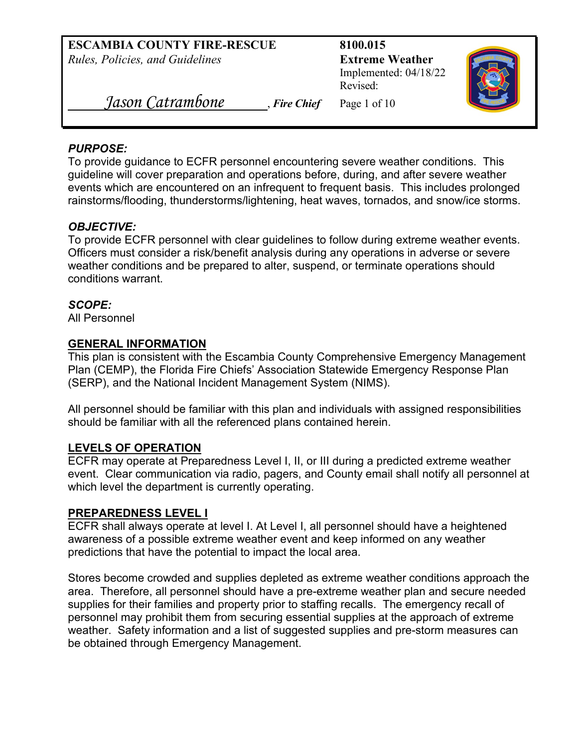Implemented: 04/18/22 Revised:



 *Jason Catrambone* , *Fire Chief* Page 1 of 10

#### *PURPOSE:*

To provide guidance to ECFR personnel encountering severe weather conditions. This guideline will cover preparation and operations before, during, and after severe weather events which are encountered on an infrequent to frequent basis. This includes prolonged rainstorms/flooding, thunderstorms/lightening, heat waves, tornados, and snow/ice storms.

## *OBJECTIVE:*

To provide ECFR personnel with clear guidelines to follow during extreme weather events. Officers must consider a risk/benefit analysis during any operations in adverse or severe weather conditions and be prepared to alter, suspend, or terminate operations should conditions warrant.

#### *SCOPE:*

All Personnel

#### **GENERAL INFORMATION**

This plan is consistent with the Escambia County Comprehensive Emergency Management Plan (CEMP), the Florida Fire Chiefs' Association Statewide Emergency Response Plan (SERP), and the National Incident Management System (NIMS).

All personnel should be familiar with this plan and individuals with assigned responsibilities should be familiar with all the referenced plans contained herein.

## **LEVELS OF OPERATION**

ECFR may operate at Preparedness Level I, II, or III during a predicted extreme weather event. Clear communication via radio, pagers, and County email shall notify all personnel at which level the department is currently operating.

#### **PREPAREDNESS LEVEL I**

ECFR shall always operate at level I. At Level I, all personnel should have a heightened awareness of a possible extreme weather event and keep informed on any weather predictions that have the potential to impact the local area.

Stores become crowded and supplies depleted as extreme weather conditions approach the area. Therefore, all personnel should have a pre-extreme weather plan and secure needed supplies for their families and property prior to staffing recalls. The emergency recall of personnel may prohibit them from securing essential supplies at the approach of extreme weather. Safety information and a list of suggested supplies and pre-storm measures can be obtained through Emergency Management.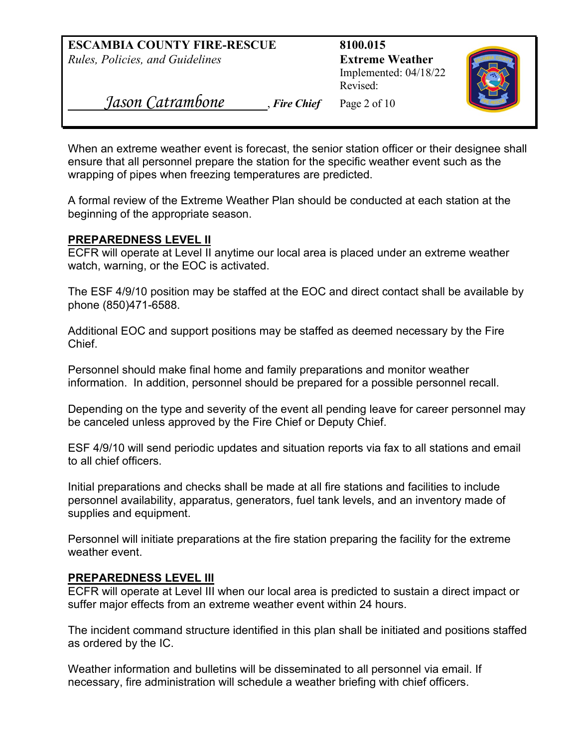Implemented: 04/18/22 Revised:



 *Jason Catrambone* , *Fire Chief* Page 2 of 10

When an extreme weather event is forecast, the senior station officer or their designee shall ensure that all personnel prepare the station for the specific weather event such as the wrapping of pipes when freezing temperatures are predicted.

A formal review of the Extreme Weather Plan should be conducted at each station at the beginning of the appropriate season.

#### **PREPAREDNESS LEVEL II**

ECFR will operate at Level II anytime our local area is placed under an extreme weather watch, warning, or the EOC is activated.

The ESF 4/9/10 position may be staffed at the EOC and direct contact shall be available by phone (850)471-6588.

Additional EOC and support positions may be staffed as deemed necessary by the Fire Chief.

Personnel should make final home and family preparations and monitor weather information. In addition, personnel should be prepared for a possible personnel recall.

Depending on the type and severity of the event all pending leave for career personnel may be canceled unless approved by the Fire Chief or Deputy Chief.

ESF 4/9/10 will send periodic updates and situation reports via fax to all stations and email to all chief officers.

Initial preparations and checks shall be made at all fire stations and facilities to include personnel availability, apparatus, generators, fuel tank levels, and an inventory made of supplies and equipment.

Personnel will initiate preparations at the fire station preparing the facility for the extreme weather event.

## **PREPAREDNESS LEVEL III**

ECFR will operate at Level III when our local area is predicted to sustain a direct impact or suffer major effects from an extreme weather event within 24 hours.

The incident command structure identified in this plan shall be initiated and positions staffed as ordered by the IC.

Weather information and bulletins will be disseminated to all personnel via email. If necessary, fire administration will schedule a weather briefing with chief officers.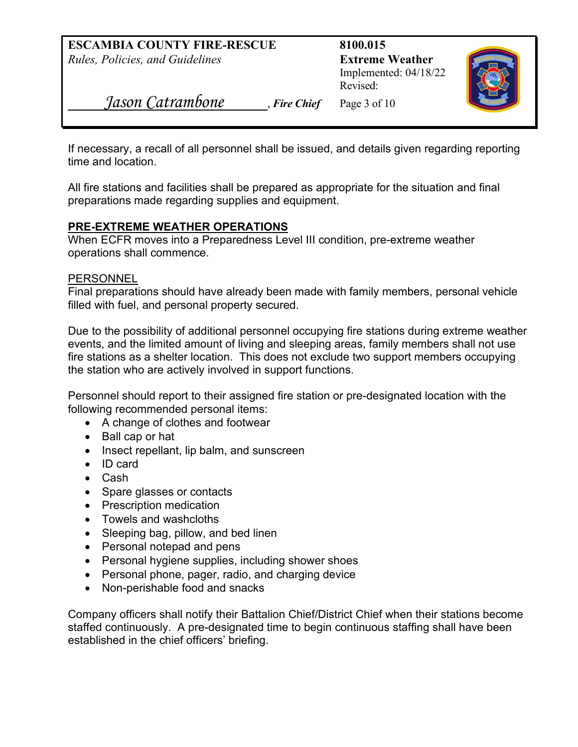Implemented: 04/18/22 Revised:



 *Jason Catrambone* , *Fire Chief* Page 3 of 10

If necessary, a recall of all personnel shall be issued, and details given regarding reporting time and location.

All fire stations and facilities shall be prepared as appropriate for the situation and final preparations made regarding supplies and equipment.

#### **PRE-EXTREME WEATHER OPERATIONS**

When ECFR moves into a Preparedness Level III condition, pre-extreme weather operations shall commence.

#### **PERSONNEL**

Final preparations should have already been made with family members, personal vehicle filled with fuel, and personal property secured.

Due to the possibility of additional personnel occupying fire stations during extreme weather events, and the limited amount of living and sleeping areas, family members shall not use fire stations as a shelter location. This does not exclude two support members occupying the station who are actively involved in support functions.

Personnel should report to their assigned fire station or pre-designated location with the following recommended personal items:

- A change of clothes and footwear
- Ball cap or hat
- Insect repellant, lip balm, and sunscreen
- ID card
- Cash
- Spare glasses or contacts
- Prescription medication
- Towels and washcloths
- Sleeping bag, pillow, and bed linen
- Personal notepad and pens
- Personal hygiene supplies, including shower shoes
- Personal phone, pager, radio, and charging device
- Non-perishable food and snacks

Company officers shall notify their Battalion Chief/District Chief when their stations become staffed continuously. A pre-designated time to begin continuous staffing shall have been established in the chief officers' briefing.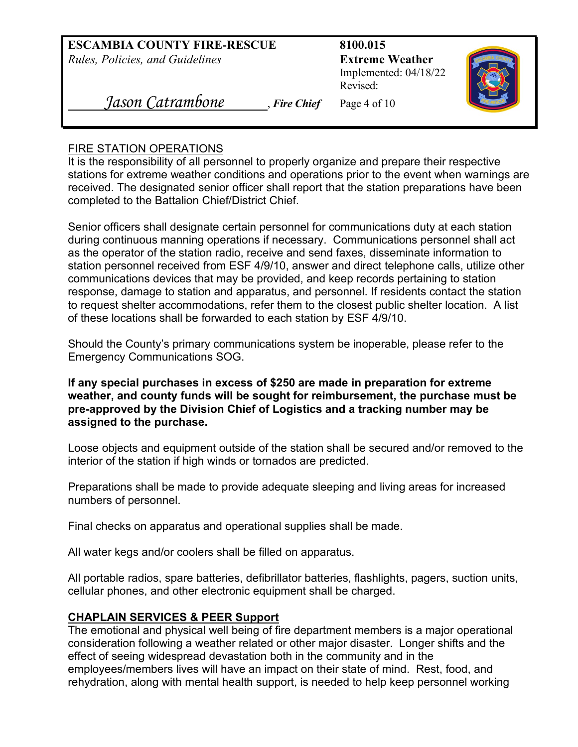Implemented: 04/18/22 Revised:



 *Jason Catrambone* , *Fire Chief* Page 4 of 10

## FIRE STATION OPERATIONS

It is the responsibility of all personnel to properly organize and prepare their respective stations for extreme weather conditions and operations prior to the event when warnings are received. The designated senior officer shall report that the station preparations have been completed to the Battalion Chief/District Chief.

Senior officers shall designate certain personnel for communications duty at each station during continuous manning operations if necessary. Communications personnel shall act as the operator of the station radio, receive and send faxes, disseminate information to station personnel received from ESF 4/9/10, answer and direct telephone calls, utilize other communications devices that may be provided, and keep records pertaining to station response, damage to station and apparatus, and personnel. If residents contact the station to request shelter accommodations, refer them to the closest public shelter location. A list of these locations shall be forwarded to each station by ESF 4/9/10.

Should the County's primary communications system be inoperable, please refer to the Emergency Communications SOG.

**If any special purchases in excess of \$250 are made in preparation for extreme weather, and county funds will be sought for reimbursement, the purchase must be pre-approved by the Division Chief of Logistics and a tracking number may be assigned to the purchase.**

Loose objects and equipment outside of the station shall be secured and/or removed to the interior of the station if high winds or tornados are predicted.

Preparations shall be made to provide adequate sleeping and living areas for increased numbers of personnel.

Final checks on apparatus and operational supplies shall be made.

All water kegs and/or coolers shall be filled on apparatus.

All portable radios, spare batteries, defibrillator batteries, flashlights, pagers, suction units, cellular phones, and other electronic equipment shall be charged.

## **CHAPLAIN SERVICES & PEER Support**

The emotional and physical well being of fire department members is a major operational consideration following a weather related or other major disaster. Longer shifts and the effect of seeing widespread devastation both in the community and in the employees/members lives will have an impact on their state of mind. Rest, food, and rehydration, along with mental health support, is needed to help keep personnel working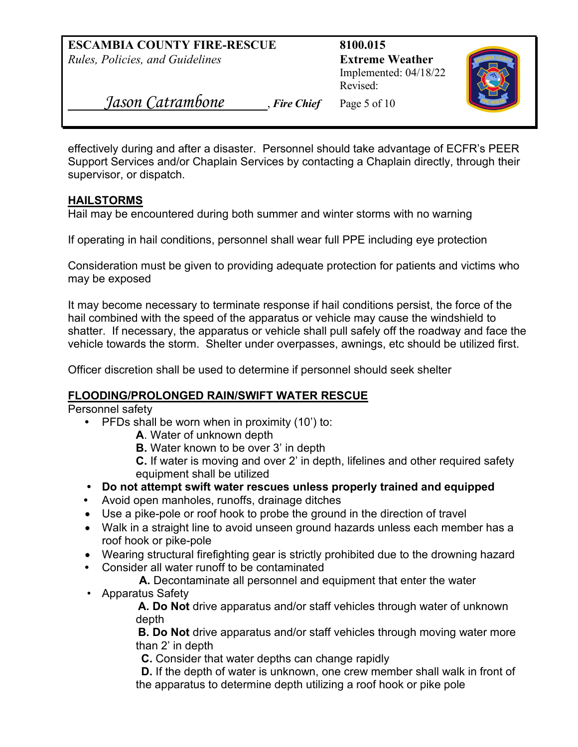Implemented: 04/18/22 Revised:



 *Jason Catrambone* , *Fire Chief* Page 5 of 10

effectively during and after a disaster. Personnel should take advantage of ECFR's PEER Support Services and/or Chaplain Services by contacting a Chaplain directly, through their supervisor, or dispatch.

## **HAILSTORMS**

Hail may be encountered during both summer and winter storms with no warning

If operating in hail conditions, personnel shall wear full PPE including eye protection

Consideration must be given to providing adequate protection for patients and victims who may be exposed

It may become necessary to terminate response if hail conditions persist, the force of the hail combined with the speed of the apparatus or vehicle may cause the windshield to shatter. If necessary, the apparatus or vehicle shall pull safely off the roadway and face the vehicle towards the storm. Shelter under overpasses, awnings, etc should be utilized first.

Officer discretion shall be used to determine if personnel should seek shelter

# **FLOODING/PROLONGED RAIN/SWIFT WATER RESCUE**

Personnel safety

- PFDs shall be worn when in proximity (10') to:
	- **A**. Water of unknown depth
	- **B.** Water known to be over 3' in depth
	- **C.** If water is moving and over 2' in depth, lifelines and other required safety equipment shall be utilized
- **Do not attempt swift water rescues unless properly trained and equipped**
- Avoid open manholes, runoffs, drainage ditches
- Use a pike-pole or roof hook to probe the ground in the direction of travel
- Walk in a straight line to avoid unseen ground hazards unless each member has a roof hook or pike-pole
- Wearing structural firefighting gear is strictly prohibited due to the drowning hazard
- Consider all water runoff to be contaminated

**A.** Decontaminate all personnel and equipment that enter the water

• Apparatus Safety

**A. Do Not** drive apparatus and/or staff vehicles through water of unknown depth

**B. Do Not** drive apparatus and/or staff vehicles through moving water more than 2' in depth

**C.** Consider that water depths can change rapidly

**D.** If the depth of water is unknown, one crew member shall walk in front of the apparatus to determine depth utilizing a roof hook or pike pole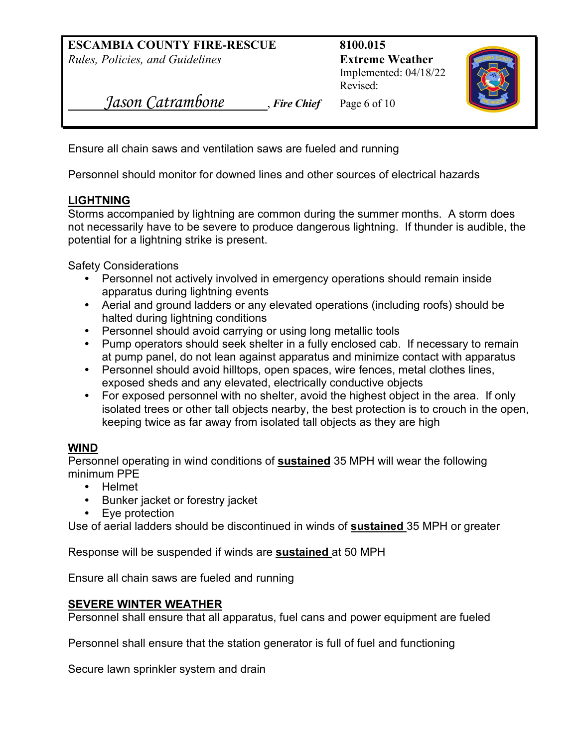Implemented: 04/18/22 Revised:



 *Jason Catrambone* , *Fire Chief* Page 6 of 10

Ensure all chain saws and ventilation saws are fueled and running

Personnel should monitor for downed lines and other sources of electrical hazards

## **LIGHTNING**

Storms accompanied by lightning are common during the summer months. A storm does not necessarily have to be severe to produce dangerous lightning. If thunder is audible, the potential for a lightning strike is present.

Safety Considerations

- Personnel not actively involved in emergency operations should remain inside apparatus during lightning events
- Aerial and ground ladders or any elevated operations (including roofs) should be halted during lightning conditions
- Personnel should avoid carrying or using long metallic tools
- Pump operators should seek shelter in a fully enclosed cab. If necessary to remain at pump panel, do not lean against apparatus and minimize contact with apparatus
- Personnel should avoid hilltops, open spaces, wire fences, metal clothes lines, exposed sheds and any elevated, electrically conductive objects
- For exposed personnel with no shelter, avoid the highest object in the area. If only isolated trees or other tall objects nearby, the best protection is to crouch in the open, keeping twice as far away from isolated tall objects as they are high

# **WIND**

Personnel operating in wind conditions of **sustained** 35 MPH will wear the following minimum PPE

- Helmet
- Bunker jacket or forestry jacket
- Eye protection

Use of aerial ladders should be discontinued in winds of **sustained** 35 MPH or greater

Response will be suspended if winds are **sustained** at 50 MPH

Ensure all chain saws are fueled and running

# **SEVERE WINTER WEATHER**

Personnel shall ensure that all apparatus, fuel cans and power equipment are fueled

Personnel shall ensure that the station generator is full of fuel and functioning

Secure lawn sprinkler system and drain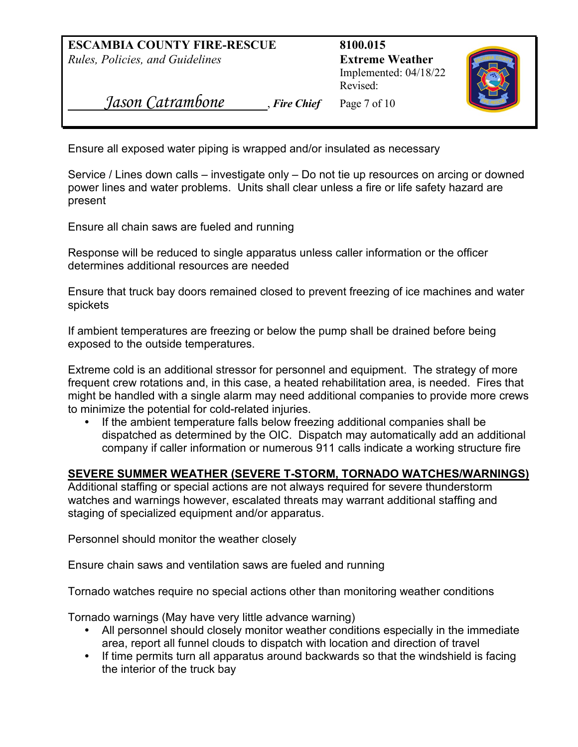Implemented: 04/18/22 Revised:



 *Jason Catrambone* , *Fire Chief* Page 7 of 10

Ensure all exposed water piping is wrapped and/or insulated as necessary

Service / Lines down calls – investigate only – Do not tie up resources on arcing or downed power lines and water problems. Units shall clear unless a fire or life safety hazard are present

Ensure all chain saws are fueled and running

Response will be reduced to single apparatus unless caller information or the officer determines additional resources are needed

Ensure that truck bay doors remained closed to prevent freezing of ice machines and water spickets

If ambient temperatures are freezing or below the pump shall be drained before being exposed to the outside temperatures.

Extreme cold is an additional stressor for personnel and equipment. The strategy of more frequent crew rotations and, in this case, a heated rehabilitation area, is needed. Fires that might be handled with a single alarm may need additional companies to provide more crews to minimize the potential for cold-related injuries.

**•** If the ambient temperature falls below freezing additional companies shall be dispatched as determined by the OIC. Dispatch may automatically add an additional company if caller information or numerous 911 calls indicate a working structure fire

## **SEVERE SUMMER WEATHER (SEVERE T-STORM, TORNADO WATCHES/WARNINGS)**

Additional staffing or special actions are not always required for severe thunderstorm watches and warnings however, escalated threats may warrant additional staffing and staging of specialized equipment and/or apparatus.

Personnel should monitor the weather closely

Ensure chain saws and ventilation saws are fueled and running

Tornado watches require no special actions other than monitoring weather conditions

Tornado warnings (May have very little advance warning)

- All personnel should closely monitor weather conditions especially in the immediate area, report all funnel clouds to dispatch with location and direction of travel
- If time permits turn all apparatus around backwards so that the windshield is facing the interior of the truck bay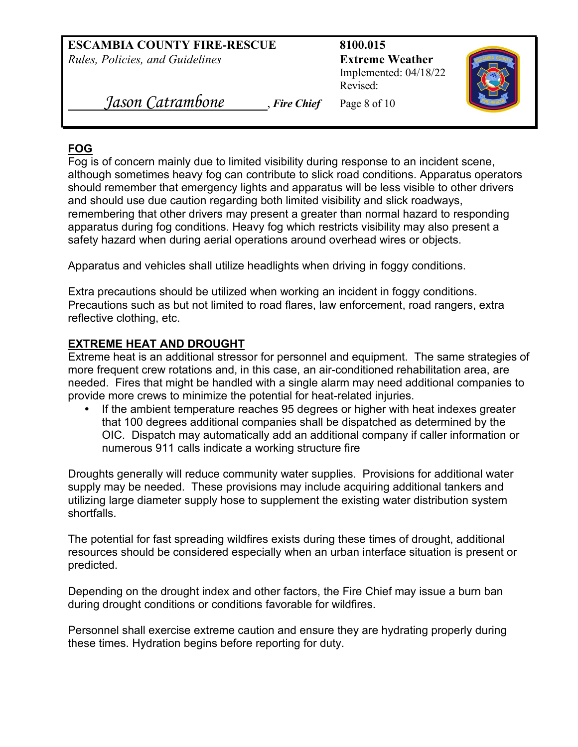Implemented: 04/18/22 Revised:



 *Jason Catrambone* , *Fire Chief* Page 8 of 10

# **FOG**

Fog is of concern mainly due to limited visibility during response to an incident scene, although sometimes heavy fog can contribute to slick road conditions. Apparatus operators should remember that emergency lights and apparatus will be less visible to other drivers and should use due caution regarding both limited visibility and slick roadways, remembering that other drivers may present a greater than normal hazard to responding apparatus during fog conditions. Heavy fog which restricts visibility may also present a safety hazard when during aerial operations around overhead wires or objects.

Apparatus and vehicles shall utilize headlights when driving in foggy conditions.

Extra precautions should be utilized when working an incident in foggy conditions. Precautions such as but not limited to road flares, law enforcement, road rangers, extra reflective clothing, etc.

## **EXTREME HEAT AND DROUGHT**

Extreme heat is an additional stressor for personnel and equipment. The same strategies of more frequent crew rotations and, in this case, an air-conditioned rehabilitation area, are needed. Fires that might be handled with a single alarm may need additional companies to provide more crews to minimize the potential for heat-related injuries.

**•** If the ambient temperature reaches 95 degrees or higher with heat indexes greater that 100 degrees additional companies shall be dispatched as determined by the OIC. Dispatch may automatically add an additional company if caller information or numerous 911 calls indicate a working structure fire

Droughts generally will reduce community water supplies. Provisions for additional water supply may be needed. These provisions may include acquiring additional tankers and utilizing large diameter supply hose to supplement the existing water distribution system shortfalls.

The potential for fast spreading wildfires exists during these times of drought, additional resources should be considered especially when an urban interface situation is present or predicted.

Depending on the drought index and other factors, the Fire Chief may issue a burn ban during drought conditions or conditions favorable for wildfires.

Personnel shall exercise extreme caution and ensure they are hydrating properly during these times. Hydration begins before reporting for duty.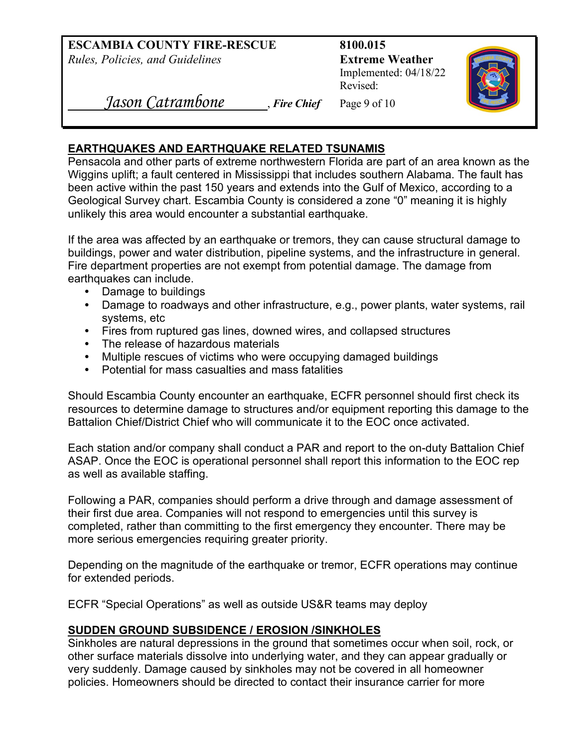Implemented: 04/18/22 Revised:



 *Jason Catrambone* , *Fire Chief* Page 9 of 10

## **EARTHQUAKES AND EARTHQUAKE RELATED TSUNAMIS**

Pensacola and other parts of extreme northwestern Florida are part of an area known as the Wiggins uplift; a fault centered in Mississippi that includes southern Alabama. The fault has been active within the past 150 years and extends into the Gulf of Mexico, according to a Geological Survey chart. Escambia County is considered a zone "0" meaning it is highly unlikely this area would encounter a substantial earthquake.

If the area was affected by an earthquake or tremors, they can cause structural damage to buildings, power and water distribution, pipeline systems, and the infrastructure in general. Fire department properties are not exempt from potential damage. The damage from earthquakes can include.

- Damage to buildings
- Damage to roadways and other infrastructure, e.g., power plants, water systems, rail systems, etc
- Fires from ruptured gas lines, downed wires, and collapsed structures
- The release of hazardous materials
- Multiple rescues of victims who were occupying damaged buildings
- Potential for mass casualties and mass fatalities

Should Escambia County encounter an earthquake, ECFR personnel should first check its resources to determine damage to structures and/or equipment reporting this damage to the Battalion Chief/District Chief who will communicate it to the EOC once activated.

Each station and/or company shall conduct a PAR and report to the on-duty Battalion Chief ASAP. Once the EOC is operational personnel shall report this information to the EOC rep as well as available staffing.

Following a PAR, companies should perform a drive through and damage assessment of their first due area. Companies will not respond to emergencies until this survey is completed, rather than committing to the first emergency they encounter. There may be more serious emergencies requiring greater priority.

Depending on the magnitude of the earthquake or tremor, ECFR operations may continue for extended periods.

ECFR "Special Operations" as well as outside US&R teams may deploy

## **SUDDEN GROUND SUBSIDENCE / EROSION /SINKHOLES**

Sinkholes are natural depressions in the ground that sometimes occur when soil, rock, or other surface materials dissolve into underlying water, and they can appear gradually or very suddenly. Damage caused by sinkholes may not be covered in all homeowner policies. Homeowners should be directed to contact their insurance carrier for more